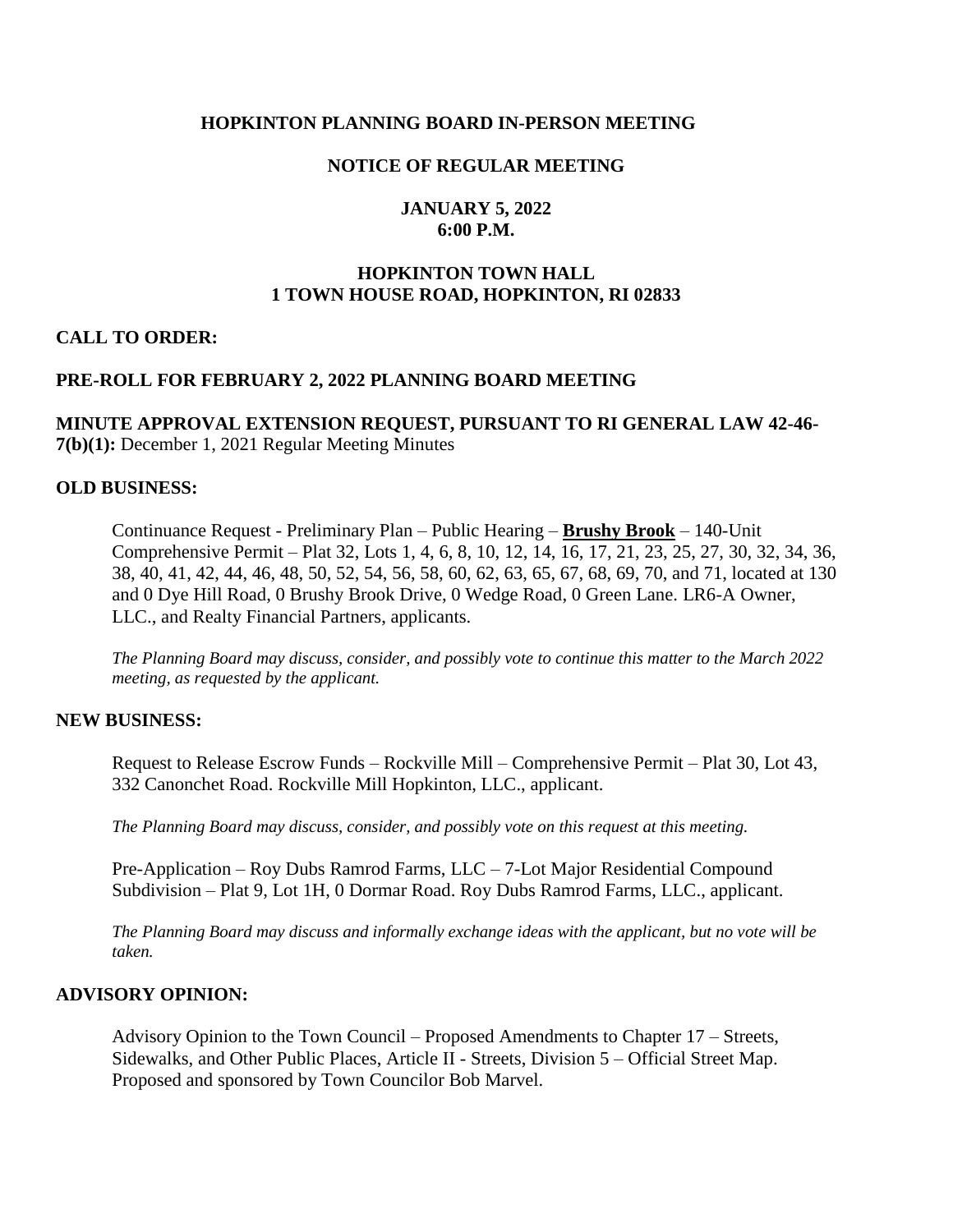### **HOPKINTON PLANNING BOARD IN-PERSON MEETING**

### **NOTICE OF REGULAR MEETING**

### **JANUARY 5, 2022 6:00 P.M.**

# **HOPKINTON TOWN HALL 1 TOWN HOUSE ROAD, HOPKINTON, RI 02833**

### **CALL TO ORDER:**

### **PRE-ROLL FOR FEBRUARY 2, 2022 PLANNING BOARD MEETING**

### **MINUTE APPROVAL EXTENSION REQUEST, PURSUANT TO RI GENERAL LAW 42-46- 7(b)(1):** December 1, 2021 Regular Meeting Minutes

#### **OLD BUSINESS:**

Continuance Request - Preliminary Plan – Public Hearing – **Brushy Brook** – 140-Unit Comprehensive Permit – Plat 32, Lots 1, 4, 6, 8, 10, 12, 14, 16, 17, 21, 23, 25, 27, 30, 32, 34, 36, 38, 40, 41, 42, 44, 46, 48, 50, 52, 54, 56, 58, 60, 62, 63, 65, 67, 68, 69, 70, and 71, located at 130 and 0 Dye Hill Road, 0 Brushy Brook Drive, 0 Wedge Road, 0 Green Lane. LR6-A Owner, LLC., and Realty Financial Partners, applicants.

*The Planning Board may discuss, consider, and possibly vote to continue this matter to the March 2022 meeting, as requested by the applicant.* 

#### **NEW BUSINESS:**

Request to Release Escrow Funds – Rockville Mill – Comprehensive Permit – Plat 30, Lot 43, 332 Canonchet Road. Rockville Mill Hopkinton, LLC., applicant.

*The Planning Board may discuss, consider, and possibly vote on this request at this meeting.*

Pre-Application – Roy Dubs Ramrod Farms, LLC – 7-Lot Major Residential Compound Subdivision – Plat 9, Lot 1H, 0 Dormar Road. Roy Dubs Ramrod Farms, LLC., applicant.

*The Planning Board may discuss and informally exchange ideas with the applicant, but no vote will be taken.* 

#### **ADVISORY OPINION:**

Advisory Opinion to the Town Council – Proposed Amendments to Chapter 17 – Streets, Sidewalks, and Other Public Places, Article II - Streets, Division 5 – Official Street Map. Proposed and sponsored by Town Councilor Bob Marvel.